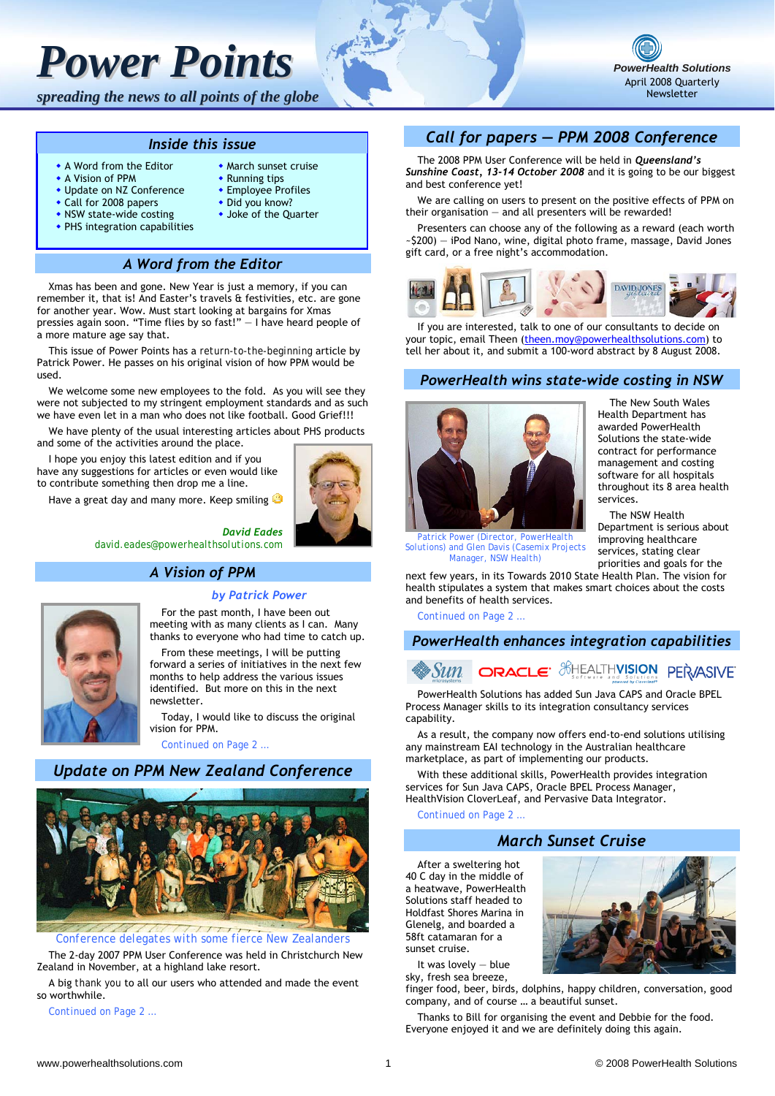# *Power Points*

*spreading the news to all points of the globe*

#### *Inside this issue*

- A Word from the Editor
- A Vision of PPM
- Update on NZ Conference

• PHS integration capabilities

- Call for 2008 papers • NSW state-wide costing
- Did you know?
	- Joke of the Quarter

 March sunset cruise Running tips **Employee Profiles** 

## *A Word from the Editor*

Xmas has been and gone. New Year is just a memory, if you can remember it, that is! And Easter's travels & festivities, etc. are gone for another year. Wow. Must start looking at bargains for Xmas pressies again soon. "Time flies by so fast!" ― I have heard people of a more mature age say that.

This issue of Power Points has a *return-to-the-beginning* article by Patrick Power. He passes on his original vision of how PPM would be used.

We welcome some new employees to the fold. As you will see they were not subjected to my stringent employment standards and as such we have even let in a man who does not like football. Good Grief!!!

We have plenty of the usual interesting articles about PHS products and some of the activities around the place.

I hope you enjoy this latest edition and if you have any suggestions for articles or even would like to contribute something then drop me a line.

Have a great day and many more. Keep smiling

#### *David Eades david.eades@powerhealthsolutions.com*

## *A Vision of PPM*

#### *by Patrick Power*

For the past month, I have been out meeting with as many clients as I can. Many thanks to everyone who had time to catch up.

From these meetings, I will be putting forward a series of initiatives in the next few months to help address the various issues identified. But more on this in the next newsletter.

Today, I would like to discuss the original vision for PPM.

*Continued on Page 2 …* 

## *Update on PPM New Zealand Conference*



*Conference delegates with some fierce New Zealanders*

The 2-day 2007 PPM User Conference was held in Christchurch New Zealand in November, at a highland lake resort.

A big *thank you* to all our users who attended and made the event so worthwhile.

*Continued on Page 2 …* 

# *Call for papers ― PPM 2008 Conference*

The 2008 PPM User Conference will be held in *Queensland's Sunshine Coast, 13-14 October 2008* and it is going to be our biggest and best conference yet!

We are calling on users to present on the positive effects of PPM on their organisation  $-$  and all presenters will be rewarded!

Presenters can choose any of the following as a reward (each worth ~\$200) ― iPod Nano, wine, digital photo frame, massage, David Jones gift card, or a free night's accommodation.



If you are interested, talk to one of our consultants to decide on your topic, email Theen (theen.moy@powerhealthsolutions.com) to tell her about it, and submit a 100-word abstract by 8 August 2008.

#### *PowerHealth wins state-wide costing in NSW*



The New South Wales Health Department has awarded PowerHealth Solutions the state-wide contract for performance management and costing software for all hospitals throughout its 8 area health services.

*PowerHealth Solutions* April 2008 Quarterly Newsletter

The NSW Health Department is serious about improving healthcare services, stating clear priorities and goals for the

*Patrick Power (Director, PowerHealth Solutions) and Glen Davis (Casemix Projects Manager, NSW Health)*

next few years, in its Towards 2010 State Health Plan. The vision for health stipulates a system that makes smart choices about the costs and benefits of health services.

*Continued on Page 2 …* 

#### *PowerHealth enhances integration capabilities*



PowerHealth Solutions has added Sun Java CAPS and Oracle BPEL Process Manager skills to its integration consultancy services capability.

As a result, the company now offers end-to-end solutions utilising any mainstream EAI technology in the Australian healthcare marketplace, as part of implementing our products.

With these additional skills, PowerHealth provides integration services for Sun Java CAPS, Oracle BPEL Process Manager, HealthVision CloverLeaf, and Pervasive Data Integrator.

*Continued on Page 2 …* 

### *March Sunset Cruise*

After a sweltering hot 40 C day in the middle of a heatwave, PowerHealth Solutions staff headed to Holdfast Shores Marina in Glenelg, and boarded a 58ft catamaran for a sunset cruise.



It was lovely ― blue sky, fresh sea breeze,

finger food, beer, birds, dolphins, happy children, conversation, good company, and of course … a beautiful sunset.

Thanks to Bill for organising the event and Debbie for the food. Everyone enjoyed it and we are definitely doing this again.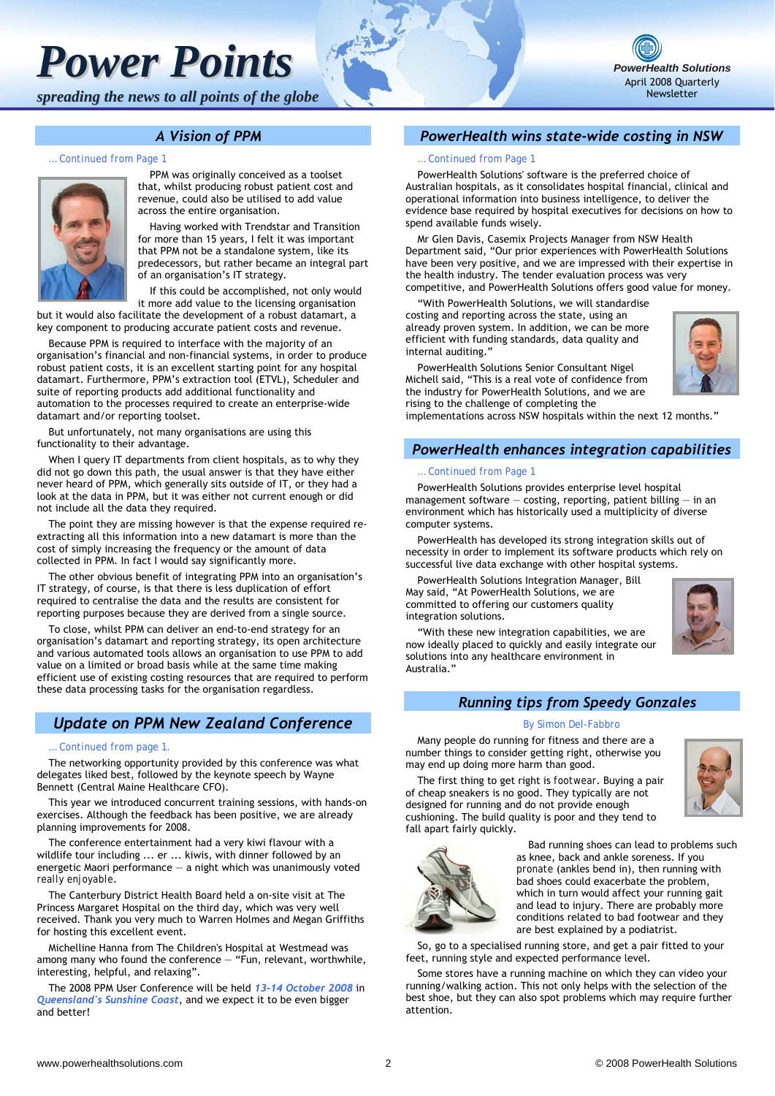# *Power Points*

*spreading the news to all points of the globe*



#### *A Vision of PPM*

*… Continued from Page 1*



PPM was originally conceived as a toolset that, whilst producing robust patient cost and revenue, could also be utilised to add value across the entire organisation.

Having worked with Trendstar and Transition for more than 15 years, I felt it was important that PPM not be a standalone system, like its predecessors, but rather became an integral part of an organisation's IT strategy.

If this could be accomplished, not only would it more add value to the licensing organisation

but it would also facilitate the development of a robust datamart, a key component to producing accurate patient costs and revenue.

Because PPM is required to interface with the majority of an organisation's financial and non-financial systems, in order to produce robust patient costs, it is an excellent starting point for any hospital datamart. Furthermore, PPM's extraction tool (ETVL), Scheduler and suite of reporting products add additional functionality and automation to the processes required to create an enterprise-wide datamart and/or reporting toolset.

But unfortunately, not many organisations are using this functionality to their advantage.

When I query IT departments from client hospitals, as to why they did not go down this path, the usual answer is that they have either never heard of PPM, which generally sits outside of IT, or they had a look at the data in PPM, but it was either not current enough or did not include all the data they required.

The point they are missing however is that the expense required reextracting all this information into a new datamart is more than the cost of simply increasing the frequency or the amount of data collected in PPM. In fact I would say significantly more.

The other obvious benefit of integrating PPM into an organisation's IT strategy, of course, is that there is less duplication of effort required to centralise the data and the results are consistent for reporting purposes because they are derived from a single source.

To close, whilst PPM can deliver an end-to-end strategy for an organisation's datamart and reporting strategy, its open architecture and various automated tools allows an organisation to use PPM to add value on a limited or broad basis while at the same time making efficient use of existing costing resources that are required to perform these data processing tasks for the organisation regardless.

### *Update on PPM New Zealand Conference*

#### *… Continued from page 1.*

The networking opportunity provided by this conference was what delegates liked best, followed by the keynote speech by Wayne Bennett (Central Maine Healthcare CFO).

This year we introduced concurrent training sessions, with hands-on exercises. Although the feedback has been positive, we are already planning improvements for 2008.

The conference entertainment had a very kiwi flavour with a wildlife tour including ... er ... kiwis, with dinner followed by an energetic Maori performance — a night which was unanimously voted *really enjoyable*.

The Canterbury District Health Board held a on-site visit at The Princess Margaret Hospital on the third day, which was very well received. Thank you very much to Warren Holmes and Megan Griffiths for hosting this excellent event.

Michelline Hanna from The Children's Hospital at Westmead was among many who found the conference — "Fun, relevant, worthwhile, interesting, helpful, and relaxing".

The 2008 PPM User Conference will be held *13-14 October 2008* in *Queensland's Sunshine Coast*, and we expect it to be even bigger and better!

#### *PowerHealth wins state-wide costing in NSW*

#### *… Continued from Page 1*

PowerHealth Solutions' software is the preferred choice of Australian hospitals, as it consolidates hospital financial, clinical and operational information into business intelligence, to deliver the evidence base required by hospital executives for decisions on how to spend available funds wisely.

Mr Glen Davis, Casemix Projects Manager from NSW Health Department said, "Our prior experiences with PowerHealth Solutions have been very positive, and we are impressed with their expertise in the health industry. The tender evaluation process was very competitive, and PowerHealth Solutions offers good value for money.

"With PowerHealth Solutions, we will standardise costing and reporting across the state, using an already proven system. In addition, we can be more efficient with funding standards, data quality and internal auditing."

PowerHealth Solutions Senior Consultant Nigel Michell said, "This is a real vote of confidence from the industry for PowerHealth Solutions, and we are rising to the challenge of completing the

implementations across NSW hospitals within the next 12 months."

#### *PowerHealth enhances integration capabilities*

#### *… Continued from Page 1*

PowerHealth Solutions provides enterprise level hospital management software  $-$  costing, reporting, patient billing  $-$  in an environment which has historically used a multiplicity of diverse computer systems.

PowerHealth has developed its strong integration skills out of necessity in order to implement its software products which rely on successful live data exchange with other hospital systems.

PowerHealth Solutions Integration Manager, Bill May said, "At PowerHealth Solutions, we are committed to offering our customers quality integration solutions.



"With these new integration capabilities, we are now ideally placed to quickly and easily integrate our solutions into any healthcare environment in Australia."

#### *Running tips from Speedy Gonzales*

#### *By Simon Del-Fabbro*

Many people do running for fitness and there are a number things to consider getting right, otherwise you may end up doing more harm than good.

The first thing to get right is *footwear*. Buying a pair of cheap sneakers is no good. They typically are not designed for running and do not provide enough cushioning. The build quality is poor and they tend to fall apart fairly quickly.





Bad running shoes can lead to problems such as knee, back and ankle soreness. If you *pronate* (ankles bend in), then running with bad shoes could exacerbate the problem, which in turn would affect your running gait and lead to injury. There are probably more conditions related to bad footwear and they are best explained by a podiatrist.

So, go to a specialised running store, and get a pair fitted to your feet, running style and expected performance level.

Some stores have a running machine on which they can video your running/walking action. This not only helps with the selection of the best shoe, but they can also spot problems which may require further attention.